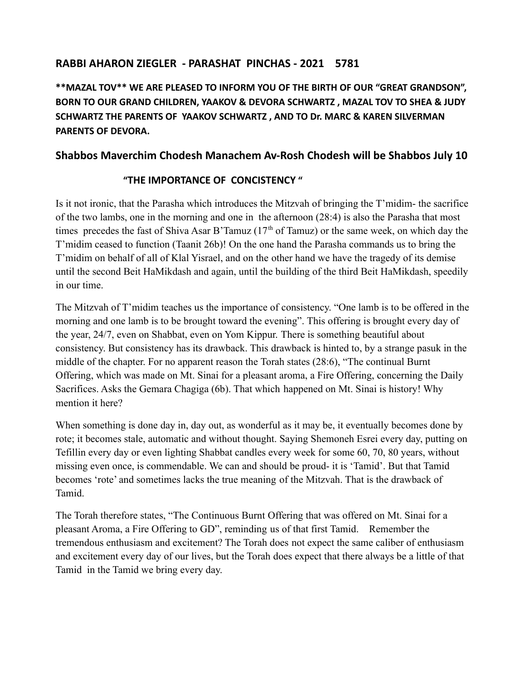# **RABBI AHARON ZIEGLER - PARASHAT PINCHAS - 2021 5781**

**\*\*MAZAL TOV\*\* WE ARE PLEASED TO INFORM YOU OF THE BIRTH OF OUR "GREAT GRANDSON", BORN TO OUR GRAND CHILDREN, YAAKOV & DEVORA SCHWARTZ , MAZAL TOV TO SHEA & JUDY SCHWARTZ THE PARENTS OF YAAKOV SCHWARTZ , AND TO Dr. MARC & KAREN SILVERMAN PARENTS OF DEVORA.**

# **Shabbos Maverchim Chodesh Manachem Av-Rosh Chodesh will be Shabbos July 10**

## **"THE IMPORTANCE OF CONCISTENCY "**

Is it not ironic, that the Parasha which introduces the Mitzvah of bringing the T'midim- the sacrifice of the two lambs, one in the morning and one in the afternoon (28:4) is also the Parasha that most times precedes the fast of Shiva Asar B'Tamuz ( $17<sup>th</sup>$  of Tamuz) or the same week, on which day the T'midim ceased to function (Taanit 26b)! On the one hand the Parasha commands us to bring the T'midim on behalf of all of Klal Yisrael, and on the other hand we have the tragedy of its demise until the second Beit HaMikdash and again, until the building of the third Beit HaMikdash, speedily in our time.

The Mitzvah of T'midim teaches us the importance of consistency. "One lamb is to be offered in the morning and one lamb is to be brought toward the evening". This offering is brought every day of the year, 24/7, even on Shabbat, even on Yom Kippur. There is something beautiful about consistency. But consistency has its drawback. This drawback is hinted to, by a strange pasuk in the middle of the chapter. For no apparent reason the Torah states (28:6), "The continual Burnt Offering, which was made on Mt. Sinai for a pleasant aroma, a Fire Offering, concerning the Daily Sacrifices. Asks the Gemara Chagiga (6b). That which happened on Mt. Sinai is history! Why mention it here?

When something is done day in, day out, as wonderful as it may be, it eventually becomes done by rote; it becomes stale, automatic and without thought. Saying Shemoneh Esrei every day, putting on Tefillin every day or even lighting Shabbat candles every week for some 60, 70, 80 years, without missing even once, is commendable. We can and should be proud- it is 'Tamid'. But that Tamid becomes 'rote' and sometimes lacks the true meaning of the Mitzvah. That is the drawback of Tamid.

The Torah therefore states, "The Continuous Burnt Offering that was offered on Mt. Sinai for a pleasant Aroma, a Fire Offering to GD", reminding us of that first Tamid. Remember the tremendous enthusiasm and excitement? The Torah does not expect the same caliber of enthusiasm and excitement every day of our lives, but the Torah does expect that there always be a little of that Tamid in the Tamid we bring every day.